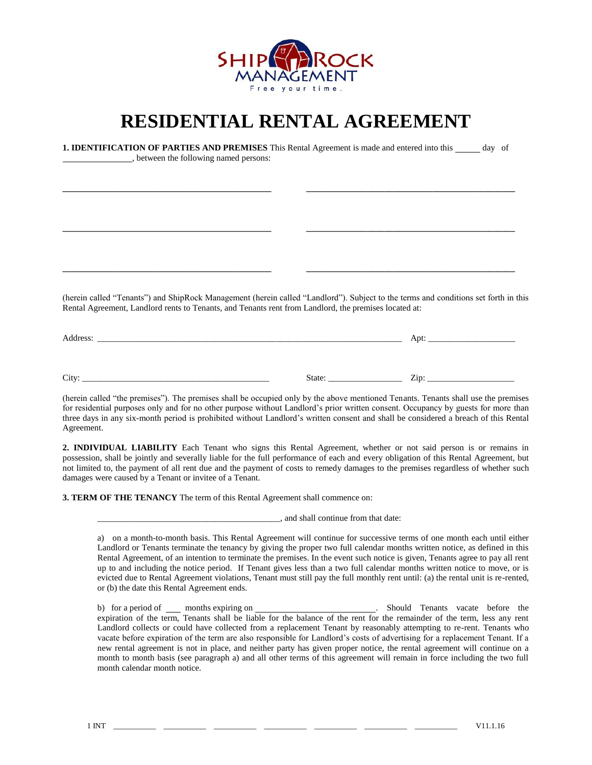

## **RESIDENTIAL RENTAL AGREEMENT**

| <b>1. IDENTIFICATION OF PARTIES AND PREMISES</b> This Rental Agreement is made and entered into this sample of order<br>_____________________, between the following named persons:                                                          |  |  |
|----------------------------------------------------------------------------------------------------------------------------------------------------------------------------------------------------------------------------------------------|--|--|
|                                                                                                                                                                                                                                              |  |  |
|                                                                                                                                                                                                                                              |  |  |
| the control of the control of the control of the control of the control of the control of                                                                                                                                                    |  |  |
|                                                                                                                                                                                                                                              |  |  |
| (herein called "Tenants") and ShipRock Management (herein called "Landlord"). Subject to the terms and conditions set forth in this<br>Rental Agreement, Landlord rents to Tenants, and Tenants rent from Landlord, the premises located at: |  |  |
|                                                                                                                                                                                                                                              |  |  |
|                                                                                                                                                                                                                                              |  |  |

(herein called "the premises"). The premises shall be occupied only by the above mentioned Tenants. Tenants shall use the premises for residential purposes only and for no other purpose without Landlord's prior written consent. Occupancy by guests for more than three days in any six-month period is prohibited without Landlord's written consent and shall be considered a breach of this Rental Agreement.

**2. INDIVIDUAL LIABILITY** Each Tenant who signs this Rental Agreement, whether or not said person is or remains in possession, shall be jointly and severally liable for the full performance of each and every obligation of this Rental Agreement, but not limited to, the payment of all rent due and the payment of costs to remedy damages to the premises regardless of whether such damages were caused by a Tenant or invitee of a Tenant.

**3. TERM OF THE TENANCY** The term of this Rental Agreement shall commence on:

\_\_\_\_\_\_\_\_\_\_\_\_\_\_\_\_\_\_\_\_\_\_\_\_\_\_\_\_\_\_\_\_\_\_\_\_\_\_\_\_\_\_, and shall continue from that date:

a) on a month-to-month basis. This Rental Agreement will continue for successive terms of one month each until either Landlord or Tenants terminate the tenancy by giving the proper two full calendar months written notice, as defined in this Rental Agreement, of an intention to terminate the premises. In the event such notice is given, Tenants agree to pay all rent up to and including the notice period. If Tenant gives less than a two full calendar months written notice to move, or is evicted due to Rental Agreement violations, Tenant must still pay the full monthly rent until: (a) the rental unit is re-rented, or (b) the date this Rental Agreement ends.

b) for a period of <u>months expiring on example and should Tenants</u> vacate before the expiration of the term, Tenants shall be liable for the balance of the rent for the remainder of the term, less any rent Landlord collects or could have collected from a replacement Tenant by reasonably attempting to re-rent. Tenants who vacate before expiration of the term are also responsible for Landlord's costs of advertising for a replacement Tenant. If a new rental agreement is not in place, and neither party has given proper notice, the rental agreement will continue on a month to month basis (see paragraph a) and all other terms of this agreement will remain in force including the two full month calendar month notice.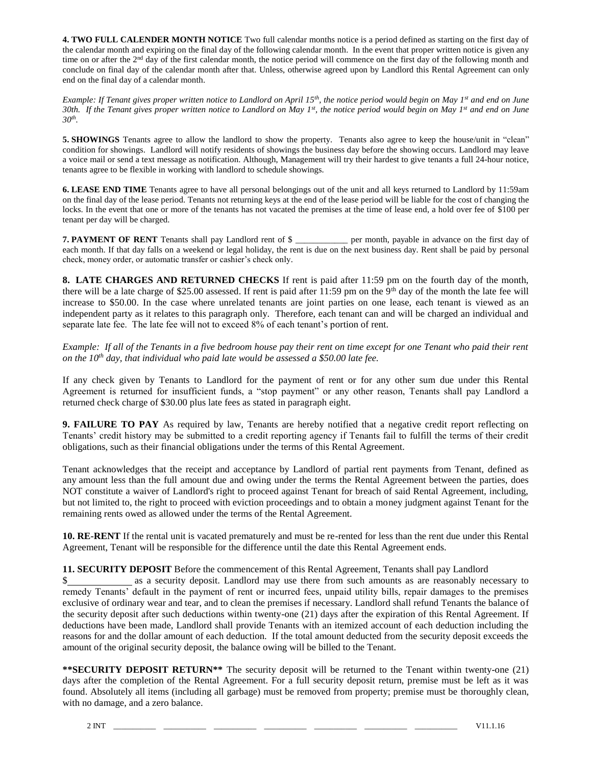**4. TWO FULL CALENDER MONTH NOTICE** Two full calendar months notice is a period defined as starting on the first day of the calendar month and expiring on the final day of the following calendar month. In the event that proper written notice is given any time on or after the  $2<sup>nd</sup>$  day of the first calendar month, the notice period will commence on the first day of the following month and conclude on final day of the calendar month after that. Unless, otherwise agreed upon by Landlord this Rental Agreement can only end on the final day of a calendar month.

*Example: If Tenant gives proper written notice to Landlord on April 15th, the notice period would begin on May 1st and end on June 30th. If the Tenant gives proper written notice to Landlord on May 1st, the notice period would begin on May 1st and end on June 30th .*

**5. <b>SHOWINGS** Tenants agree to allow the landlord to show the property. Tenants also agree to keep the house/unit in "clean" condition for showings. Landlord will notify residents of showings the business day before the showing occurs. Landlord may leave a voice mail or send a text message as notification. Although, Management will try their hardest to give tenants a full 24-hour notice, tenants agree to be flexible in working with landlord to schedule showings.

**6. LEASE END TIME** Tenants agree to have all personal belongings out of the unit and all keys returned to Landlord by 11:59am on the final day of the lease period. Tenants not returning keys at the end of the lease period will be liable for the cost of changing the locks. In the event that one or more of the tenants has not vacated the premises at the time of lease end, a hold over fee of \$100 per tenant per day will be charged.

**7. PAYMENT OF RENT** Tenants shall pay Landlord rent of \$ \_\_\_\_\_\_\_\_\_\_\_\_ per month, payable in advance on the first day of each month. If that day falls on a weekend or legal holiday, the rent is due on the next business day. Rent shall be paid by personal check, money order, or automatic transfer or cashier's check only.

**8. LATE CHARGES AND RETURNED CHECKS** If rent is paid after 11:59 pm on the fourth day of the month, there will be a late charge of \$25.00 assessed. If rent is paid after  $11:59$  pm on the 9<sup>th</sup> day of the month the late fee will increase to \$50.00. In the case where unrelated tenants are joint parties on one lease, each tenant is viewed as an independent party as it relates to this paragraph only. Therefore, each tenant can and will be charged an individual and separate late fee. The late fee will not to exceed 8% of each tenant's portion of rent.

*Example: If all of the Tenants in a five bedroom house pay their rent on time except for one Tenant who paid their rent on the 10th day, that individual who paid late would be assessed a \$50.00 late fee.* 

If any check given by Tenants to Landlord for the payment of rent or for any other sum due under this Rental Agreement is returned for insufficient funds, a "stop payment" or any other reason, Tenants shall pay Landlord a returned check charge of \$30.00 plus late fees as stated in paragraph eight.

**9. FAILURE TO PAY** As required by law, Tenants are hereby notified that a negative credit report reflecting on Tenants' credit history may be submitted to a credit reporting agency if Tenants fail to fulfill the terms of their credit obligations, such as their financial obligations under the terms of this Rental Agreement.

Tenant acknowledges that the receipt and acceptance by Landlord of partial rent payments from Tenant, defined as any amount less than the full amount due and owing under the terms the Rental Agreement between the parties, does NOT constitute a waiver of Landlord's right to proceed against Tenant for breach of said Rental Agreement, including, but not limited to, the right to proceed with eviction proceedings and to obtain a money judgment against Tenant for the remaining rents owed as allowed under the terms of the Rental Agreement.

**10. RE-RENT** If the rental unit is vacated prematurely and must be re-rented for less than the rent due under this Rental Agreement, Tenant will be responsible for the difference until the date this Rental Agreement ends.

## **11. SECURITY DEPOSIT** Before the commencement of this Rental Agreement, Tenants shall pay Landlord

as a security deposit. Landlord may use there from such amounts as are reasonably necessary to remedy Tenants' default in the payment of rent or incurred fees, unpaid utility bills, repair damages to the premises exclusive of ordinary wear and tear, and to clean the premises if necessary. Landlord shall refund Tenants the balance of the security deposit after such deductions within twenty-one (21) days after the expiration of this Rental Agreement. If deductions have been made, Landlord shall provide Tenants with an itemized account of each deduction including the reasons for and the dollar amount of each deduction. If the total amount deducted from the security deposit exceeds the amount of the original security deposit, the balance owing will be billed to the Tenant.

**\*\*SECURITY DEPOSIT RETURN\*\*** The security deposit will be returned to the Tenant within twenty-one (21) days after the completion of the Rental Agreement. For a full security deposit return, premise must be left as it was found. Absolutely all items (including all garbage) must be removed from property; premise must be thoroughly clean, with no damage, and a zero balance.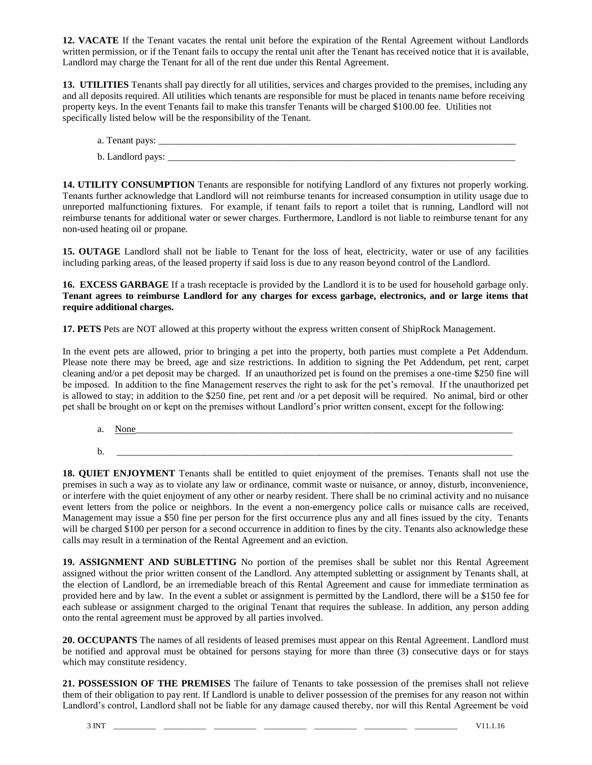**12. VACATE** If the Tenant vacates the rental unit before the expiration of the Rental Agreement without Landlords written permission, or if the Tenant fails to occupy the rental unit after the Tenant has received notice that it is available, Landlord may charge the Tenant for all of the rent due under this Rental Agreement.

**13. UTILITIES** Tenants shall pay directly for all utilities, services and charges provided to the premises, including any and all deposits required. All utilities which tenants are responsible for must be placed in tenants name before receiving property keys. In the event Tenants fail to make this transfer Tenants will be charged \$100.00 fee. Utilities not specifically listed below will be the responsibility of the Tenant.

- a. Tenant pays: \_\_\_\_\_\_\_\_\_\_\_\_\_\_\_\_\_\_\_\_\_\_\_\_\_\_\_\_\_\_\_\_\_\_\_\_\_\_\_\_\_\_\_\_\_\_\_\_\_\_\_\_\_\_\_\_\_\_\_\_\_\_\_\_\_\_\_\_\_\_\_\_\_\_
- b. Landlord pays: \_\_\_\_\_\_\_\_\_\_\_\_\_\_\_\_\_\_\_\_\_\_\_\_\_\_\_\_\_\_\_\_\_\_\_\_\_\_\_\_\_\_\_\_\_\_\_\_\_\_\_\_\_\_\_\_\_\_\_\_\_\_\_\_\_\_\_\_\_\_\_\_

**14. UTILITY CONSUMPTION** Tenants are responsible for notifying Landlord of any fixtures not properly working. Tenants further acknowledge that Landlord will not reimburse tenants for increased consumption in utility usage due to unreported malfunctioning fixtures. For example, if tenant fails to report a toilet that is running, Landlord will not reimburse tenants for additional water or sewer charges. Furthermore, Landlord is not liable to reimburse tenant for any non-used heating oil or propane.

**15. OUTAGE** Landlord shall not be liable to Tenant for the loss of heat, electricity, water or use of any facilities including parking areas, of the leased property if said loss is due to any reason beyond control of the Landlord.

**16. EXCESS GARBAGE** If a trash receptacle is provided by the Landlord it is to be used for household garbage only. **Tenant agrees to reimburse Landlord for any charges for excess garbage, electronics, and or large items that require additional charges.**

**17. PETS** Pets are NOT allowed at this property without the express written consent of ShipRock Management.

In the event pets are allowed, prior to bringing a pet into the property, both parties must complete a Pet Addendum. Please note there may be breed, age and size restrictions. In addition to signing the Pet Addendum, pet rent, carpet cleaning and/or a pet deposit may be charged. If an unauthorized pet is found on the premises a one-time \$250 fine will be imposed. In addition to the fine Management reserves the right to ask for the pet's removal. If the unauthorized pet is allowed to stay; in addition to the \$250 fine, pet rent and /or a pet deposit will be required. No animal, bird or other pet shall be brought on or kept on the premises without Landlord's prior written consent, except for the following:

a. None b. \_\_\_\_\_\_\_\_\_\_\_\_\_\_\_\_\_\_\_\_\_\_\_\_\_\_\_\_\_\_\_\_\_\_\_\_\_\_\_\_\_\_\_\_\_\_\_\_\_\_\_\_\_\_\_\_\_\_\_\_\_\_\_\_\_\_\_\_\_\_\_\_\_\_\_\_\_\_\_\_\_\_

**18. QUIET ENJOYMENT** Tenants shall be entitled to quiet enjoyment of the premises. Tenants shall not use the premises in such a way as to violate any law or ordinance, commit waste or nuisance, or annoy, disturb, inconvenience, or interfere with the quiet enjoyment of any other or nearby resident. There shall be no criminal activity and no nuisance event letters from the police or neighbors. In the event a non-emergency police calls or nuisance calls are received, Management may issue a \$50 fine per person for the first occurrence plus any and all fines issued by the city. Tenants will be charged \$100 per person for a second occurrence in addition to fines by the city. Tenants also acknowledge these calls may result in a termination of the Rental Agreement and an eviction.

**19. ASSIGNMENT AND SUBLETTING** No portion of the premises shall be sublet nor this Rental Agreement assigned without the prior written consent of the Landlord. Any attempted subletting or assignment by Tenants shall, at the election of Landlord, be an irremediable breach of this Rental Agreement and cause for immediate termination as provided here and by law. In the event a sublet or assignment is permitted by the Landlord, there will be a \$150 fee for each sublease or assignment charged to the original Tenant that requires the sublease. In addition, any person adding onto the rental agreement must be approved by all parties involved.

**20. OCCUPANTS** The names of all residents of leased premises must appear on this Rental Agreement. Landlord must be notified and approval must be obtained for persons staying for more than three (3) consecutive days or for stays which may constitute residency.

**21. POSSESSION OF THE PREMISES** The failure of Tenants to take possession of the premises shall not relieve them of their obligation to pay rent. If Landlord is unable to deliver possession of the premises for any reason not within Landlord's control, Landlord shall not be liable for any damage caused thereby, nor will this Rental Agreement be void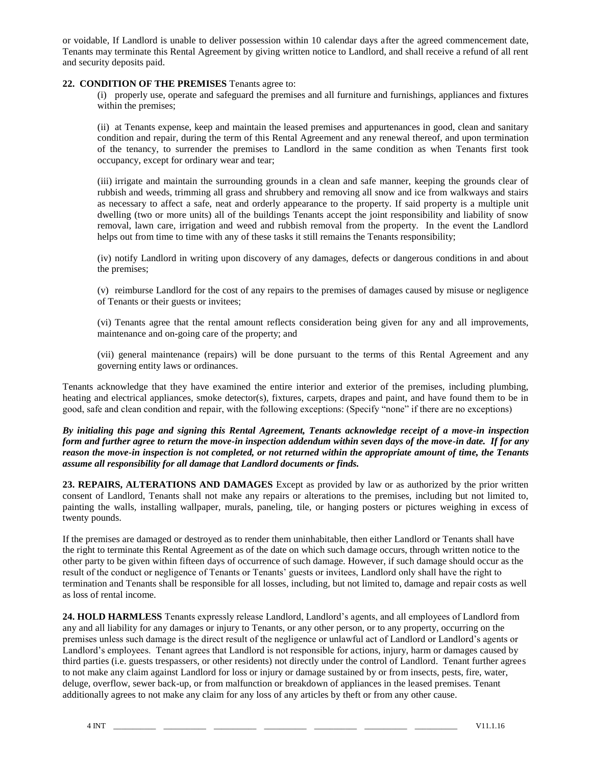or voidable, If Landlord is unable to deliver possession within 10 calendar days after the agreed commencement date, Tenants may terminate this Rental Agreement by giving written notice to Landlord, and shall receive a refund of all rent and security deposits paid.

## **22. CONDITION OF THE PREMISES** Tenants agree to:

(i) properly use, operate and safeguard the premises and all furniture and furnishings, appliances and fixtures within the premises;

(ii) at Tenants expense, keep and maintain the leased premises and appurtenances in good, clean and sanitary condition and repair, during the term of this Rental Agreement and any renewal thereof, and upon termination of the tenancy, to surrender the premises to Landlord in the same condition as when Tenants first took occupancy, except for ordinary wear and tear;

(iii) irrigate and maintain the surrounding grounds in a clean and safe manner, keeping the grounds clear of rubbish and weeds, trimming all grass and shrubbery and removing all snow and ice from walkways and stairs as necessary to affect a safe, neat and orderly appearance to the property. If said property is a multiple unit dwelling (two or more units) all of the buildings Tenants accept the joint responsibility and liability of snow removal, lawn care, irrigation and weed and rubbish removal from the property. In the event the Landlord helps out from time to time with any of these tasks it still remains the Tenants responsibility;

(iv) notify Landlord in writing upon discovery of any damages, defects or dangerous conditions in and about the premises;

(v) reimburse Landlord for the cost of any repairs to the premises of damages caused by misuse or negligence of Tenants or their guests or invitees;

(vi) Tenants agree that the rental amount reflects consideration being given for any and all improvements, maintenance and on-going care of the property; and

(vii) general maintenance (repairs) will be done pursuant to the terms of this Rental Agreement and any governing entity laws or ordinances.

Tenants acknowledge that they have examined the entire interior and exterior of the premises, including plumbing, heating and electrical appliances, smoke detector(s), fixtures, carpets, drapes and paint, and have found them to be in good, safe and clean condition and repair, with the following exceptions: (Specify "none" if there are no exceptions)

*By initialing this page and signing this Rental Agreement, Tenants acknowledge receipt of a move-in inspection form and further agree to return the move-in inspection addendum within seven days of the move-in date. If for any reason the move-in inspection is not completed, or not returned within the appropriate amount of time, the Tenants assume all responsibility for all damage that Landlord documents or finds.* 

**23. REPAIRS, ALTERATIONS AND DAMAGES** Except as provided by law or as authorized by the prior written consent of Landlord, Tenants shall not make any repairs or alterations to the premises, including but not limited to, painting the walls, installing wallpaper, murals, paneling, tile, or hanging posters or pictures weighing in excess of twenty pounds.

If the premises are damaged or destroyed as to render them uninhabitable, then either Landlord or Tenants shall have the right to terminate this Rental Agreement as of the date on which such damage occurs, through written notice to the other party to be given within fifteen days of occurrence of such damage. However, if such damage should occur as the result of the conduct or negligence of Tenants or Tenants' guests or invitees, Landlord only shall have the right to termination and Tenants shall be responsible for all losses, including, but not limited to, damage and repair costs as well as loss of rental income.

**24. HOLD HARMLESS** Tenants expressly release Landlord, Landlord's agents, and all employees of Landlord from any and all liability for any damages or injury to Tenants, or any other person, or to any property, occurring on the premises unless such damage is the direct result of the negligence or unlawful act of Landlord or Landlord's agents or Landlord's employees. Tenant agrees that Landlord is not responsible for actions, injury, harm or damages caused by third parties (i.e. guests trespassers, or other residents) not directly under the control of Landlord. Tenant further agrees to not make any claim against Landlord for loss or injury or damage sustained by or from insects, pests, fire, water, deluge, overflow, sewer back-up, or from malfunction or breakdown of appliances in the leased premises. Tenant additionally agrees to not make any claim for any loss of any articles by theft or from any other cause.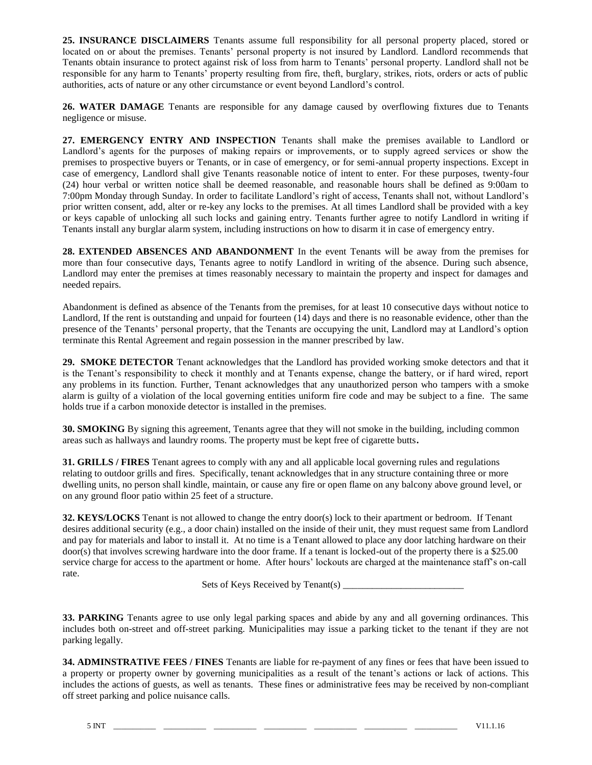**25. INSURANCE DISCLAIMERS** Tenants assume full responsibility for all personal property placed, stored or located on or about the premises. Tenants' personal property is not insured by Landlord. Landlord recommends that Tenants obtain insurance to protect against risk of loss from harm to Tenants' personal property. Landlord shall not be responsible for any harm to Tenants' property resulting from fire, theft, burglary, strikes, riots, orders or acts of public authorities, acts of nature or any other circumstance or event beyond Landlord's control.

**26. WATER DAMAGE** Tenants are responsible for any damage caused by overflowing fixtures due to Tenants negligence or misuse.

**27. EMERGENCY ENTRY AND INSPECTION** Tenants shall make the premises available to Landlord or Landlord's agents for the purposes of making repairs or improvements, or to supply agreed services or show the premises to prospective buyers or Tenants, or in case of emergency, or for semi-annual property inspections. Except in case of emergency, Landlord shall give Tenants reasonable notice of intent to enter. For these purposes, twenty-four (24) hour verbal or written notice shall be deemed reasonable, and reasonable hours shall be defined as 9:00am to 7:00pm Monday through Sunday. In order to facilitate Landlord's right of access, Tenants shall not, without Landlord's prior written consent, add, alter or re-key any locks to the premises. At all times Landlord shall be provided with a key or keys capable of unlocking all such locks and gaining entry. Tenants further agree to notify Landlord in writing if Tenants install any burglar alarm system, including instructions on how to disarm it in case of emergency entry.

**28. EXTENDED ABSENCES AND ABANDONMENT** In the event Tenants will be away from the premises for more than four consecutive days, Tenants agree to notify Landlord in writing of the absence. During such absence, Landlord may enter the premises at times reasonably necessary to maintain the property and inspect for damages and needed repairs.

Abandonment is defined as absence of the Tenants from the premises, for at least 10 consecutive days without notice to Landlord, If the rent is outstanding and unpaid for fourteen (14) days and there is no reasonable evidence, other than the presence of the Tenants' personal property, that the Tenants are occupying the unit, Landlord may at Landlord's option terminate this Rental Agreement and regain possession in the manner prescribed by law.

**29. SMOKE DETECTOR** Tenant acknowledges that the Landlord has provided working smoke detectors and that it is the Tenant's responsibility to check it monthly and at Tenants expense, change the battery, or if hard wired, report any problems in its function. Further, Tenant acknowledges that any unauthorized person who tampers with a smoke alarm is guilty of a violation of the local governing entities uniform fire code and may be subject to a fine. The same holds true if a carbon monoxide detector is installed in the premises.

**30. SMOKING** By signing this agreement, Tenants agree that they will not smoke in the building, including common areas such as hallways and laundry rooms. The property must be kept free of cigarette butts**.**

**31. GRILLS / FIRES** Tenant agrees to comply with any and all applicable local governing rules and regulations relating to outdoor grills and fires. Specifically, tenant acknowledges that in any structure containing three or more dwelling units, no person shall kindle, maintain, or cause any fire or open flame on any balcony above ground level, or on any ground floor patio within 25 feet of a structure.

**32. KEYS/LOCKS** Tenant is not allowed to change the entry door(s) lock to their apartment or bedroom. If Tenant desires additional security (e.g., a door chain) installed on the inside of their unit, they must request same from Landlord and pay for materials and labor to install it. At no time is a Tenant allowed to place any door latching hardware on their door(s) that involves screwing hardware into the door frame. If a tenant is locked-out of the property there is a \$25.00 service charge for access to the apartment or home. After hours' lockouts are charged at the maintenance staff's on-call rate.

Sets of Keys Received by Tenant(s)

**33. PARKING** Tenants agree to use only legal parking spaces and abide by any and all governing ordinances. This includes both on-street and off-street parking. Municipalities may issue a parking ticket to the tenant if they are not parking legally.

**34. ADMINSTRATIVE FEES / FINES** Tenants are liable for re-payment of any fines or fees that have been issued to a property or property owner by governing municipalities as a result of the tenant's actions or lack of actions. This includes the actions of guests, as well as tenants. These fines or administrative fees may be received by non-compliant off street parking and police nuisance calls.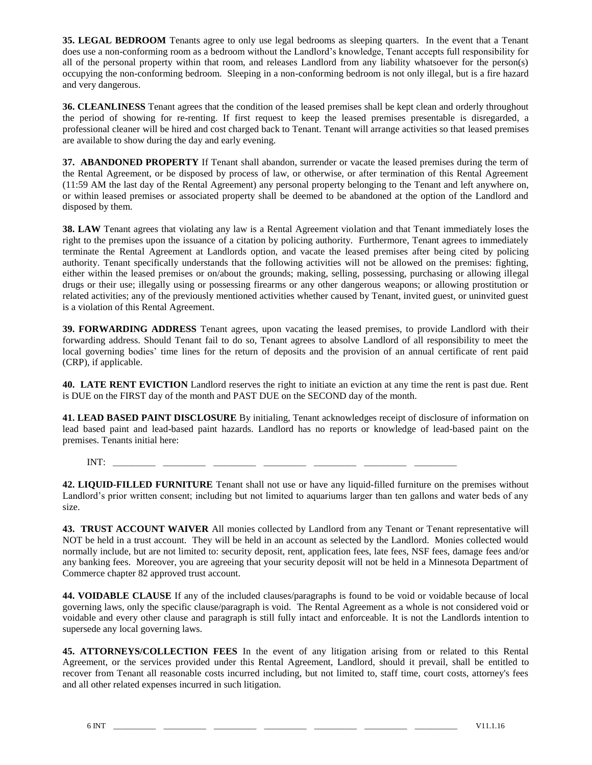**35. LEGAL BEDROOM** Tenants agree to only use legal bedrooms as sleeping quarters. In the event that a Tenant does use a non-conforming room as a bedroom without the Landlord's knowledge, Tenant accepts full responsibility for all of the personal property within that room, and releases Landlord from any liability whatsoever for the person(s) occupying the non-conforming bedroom. Sleeping in a non-conforming bedroom is not only illegal, but is a fire hazard and very dangerous.

**36. CLEANLINESS** Tenant agrees that the condition of the leased premises shall be kept clean and orderly throughout the period of showing for re-renting. If first request to keep the leased premises presentable is disregarded, a professional cleaner will be hired and cost charged back to Tenant. Tenant will arrange activities so that leased premises are available to show during the day and early evening.

**37. ABANDONED PROPERTY** If Tenant shall abandon, surrender or vacate the leased premises during the term of the Rental Agreement, or be disposed by process of law, or otherwise, or after termination of this Rental Agreement (11:59 AM the last day of the Rental Agreement) any personal property belonging to the Tenant and left anywhere on, or within leased premises or associated property shall be deemed to be abandoned at the option of the Landlord and disposed by them.

**38. LAW** Tenant agrees that violating any law is a Rental Agreement violation and that Tenant immediately loses the right to the premises upon the issuance of a citation by policing authority. Furthermore, Tenant agrees to immediately terminate the Rental Agreement at Landlords option, and vacate the leased premises after being cited by policing authority. Tenant specifically understands that the following activities will not be allowed on the premises: fighting, either within the leased premises or on/about the grounds; making, selling, possessing, purchasing or allowing illegal drugs or their use; illegally using or possessing firearms or any other dangerous weapons; or allowing prostitution or related activities; any of the previously mentioned activities whether caused by Tenant, invited guest, or uninvited guest is a violation of this Rental Agreement.

**39. FORWARDING ADDRESS** Tenant agrees, upon vacating the leased premises, to provide Landlord with their forwarding address. Should Tenant fail to do so, Tenant agrees to absolve Landlord of all responsibility to meet the local governing bodies' time lines for the return of deposits and the provision of an annual certificate of rent paid (CRP), if applicable.

**40. LATE RENT EVICTION** Landlord reserves the right to initiate an eviction at any time the rent is past due. Rent is DUE on the FIRST day of the month and PAST DUE on the SECOND day of the month.

**41. LEAD BASED PAINT DISCLOSURE** By initialing, Tenant acknowledges receipt of disclosure of information on lead based paint and lead-based paint hazards. Landlord has no reports or knowledge of lead-based paint on the premises. Tenants initial here:

INT: \_\_\_\_\_\_\_\_\_\_\_ \_\_\_\_\_\_\_\_\_\_\_ \_\_\_\_\_\_\_\_\_\_\_ \_\_\_\_\_\_\_\_\_\_\_ \_\_\_\_\_\_\_\_\_\_\_ \_\_\_\_\_\_\_\_\_\_\_ \_\_\_\_\_\_\_\_\_\_\_

**42. LIQUID-FILLED FURNITURE** Tenant shall not use or have any liquid-filled furniture on the premises without Landlord's prior written consent; including but not limited to aquariums larger than ten gallons and water beds of any size.

**43. TRUST ACCOUNT WAIVER** All monies collected by Landlord from any Tenant or Tenant representative will NOT be held in a trust account. They will be held in an account as selected by the Landlord. Monies collected would normally include, but are not limited to: security deposit, rent, application fees, late fees, NSF fees, damage fees and/or any banking fees. Moreover, you are agreeing that your security deposit will not be held in a Minnesota Department of Commerce chapter 82 approved trust account.

**44. VOIDABLE CLAUSE** If any of the included clauses/paragraphs is found to be void or voidable because of local governing laws, only the specific clause/paragraph is void. The Rental Agreement as a whole is not considered void or voidable and every other clause and paragraph is still fully intact and enforceable. It is not the Landlords intention to supersede any local governing laws.

**45. ATTORNEYS/COLLECTION FEES** In the event of any litigation arising from or related to this Rental Agreement, or the services provided under this Rental Agreement, Landlord, should it prevail, shall be entitled to recover from Tenant all reasonable costs incurred including, but not limited to, staff time, court costs, attorney's fees and all other related expenses incurred in such litigation.